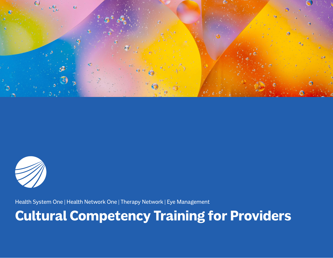



Health System One | Health Network One | Therapy Network | Eye Management

#### **Cultural Competency Training for Providers**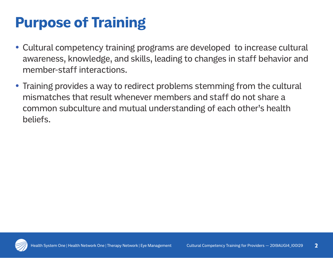## **Purpose of Training**

- Cultural competency training programs are developed to increase cultural awareness, knowledge, and skills, leading to changes in staff behavior and member-staff interactions.
- Training provides a way to redirect problems stemming from the cultural mismatches that result whenever members and staff do not share a common subculture and mutual understanding of each other's health beliefs.

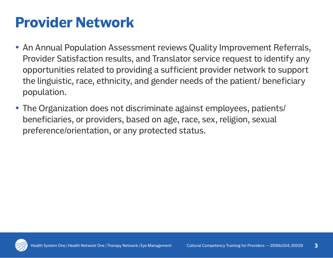## **Provider Network**

- An Annual Population Assessment reviews Quality Improvement Referrals, Provider Satisfaction results, and Translator service request to identify any opportunities related to providing a sufficient provider network to support the linguistic, race, ethnicity, and gender needs of the patient/ beneficiary population.
- The Organization does not discriminate against employees, patients/ beneficiaries, or providers, based on age, race, sex, religion, sexual preference/orientation, or any protected status.

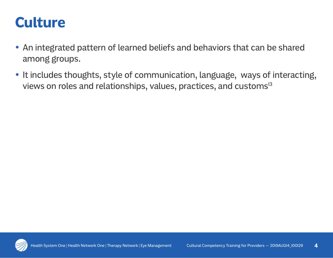#### **Culture**

- An integrated pattern of learned beliefs and behaviors that can be shared among groups.
- It includes thoughts, style of communication, language, ways of interacting, views on roles and relationships, values, practices, and customs<sup>13</sup>

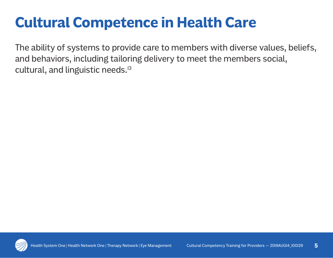# **Cultural Competence in Health Care**

The ability of systems to provide care to members with diverse values, beliefs, and behaviors, including tailoring delivery to meet the members social, cultural, and linguistic needs.<sup>13</sup>

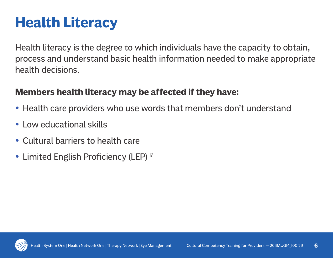# **Health Literacy**

Health literacy is the degree to which individuals have the capacity to obtain, process and understand basic health information needed to make appropriate health decisions.

#### **Members health literacy may be affected if they have:**

- Health care providers who use words that members don't understand
- Low educational skills
- Cultural barriers to health care
- Limited English Proficiency (LEP)<sup>17</sup>

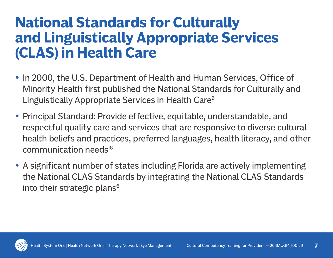## **National Standards for Culturally and Linguistically Appropriate Services (CLAS) in Health Care**

- In 2000, the U.S. Department of Health and Human Services, Office of Minority Health first published the National Standards for Culturally and Linguistically Appropriate Services in Health Care<sup>6</sup>
- Principal Standard: Provide effective, equitable, understandable, and respectful quality care and services that are responsive to diverse cultural health beliefs and practices, preferred languages, health literacy, and other communication needs<sup>16</sup>
- A significant number of states including Florida are actively implementing the National CLAS Standards by integrating the National CLAS Standards into their strategic plans<sup>6</sup>

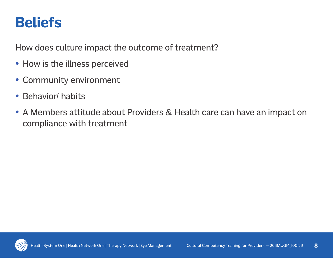## **Beliefs**

How does culture impact the outcome of treatment?

- How is the illness perceived
- Community environment
- Behavior/ habits
- A Members attitude about Providers & Health care can have an impact on compliance with treatment

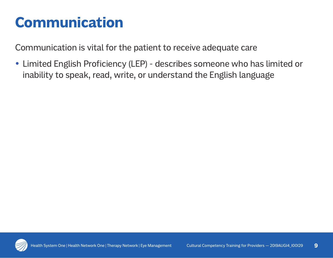## **Communication**

Communication is vital for the patient to receive adequate care

• Limited English Proficiency (LEP) - describes someone who has limited or inability to speak, read, write, or understand the English language

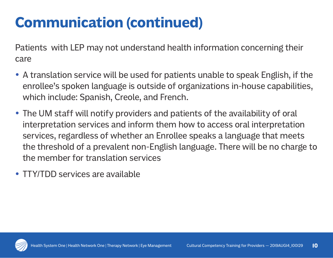# **Communication (continued)**

Patients with LEP may not understand health information concerning their care

- A translation service will be used for patients unable to speak English, if the enrollee's spoken language is outside of organizations in-house capabilities, which include: Spanish, Creole, and French.
- The UM staff will notify providers and patients of the availability of oral interpretation services and inform them how to access oral interpretation services, regardless of whether an Enrollee speaks a language that meets the threshold of a prevalent non-English language. There will be no charge to the member for translation services
- TTY/TDD services are available

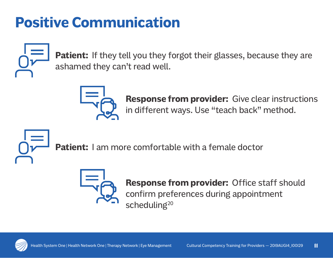# **Positive Communication**



Patient: If they tell you they forgot their glasses, because they are ashamed they can't read well.



**Response from provider:** Give clear instructions in different ways. Use "teach back" method.



Patient: I am more comfortable with a female doctor



**Response from provider:** Office staff should confirm preferences during appointment scheduling<sup>20</sup>

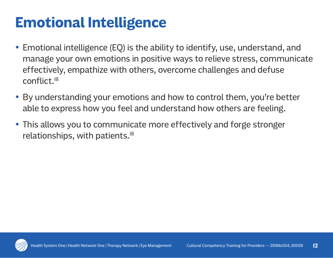# **Emotional Intelligence**

- Emotional intelligence (EQ) is the ability to identify, use, understand, and manage your own emotions in positive ways to relieve stress, communicate effectively, empathize with others, overcome challenges and defuse conflict.18
- By understanding your emotions and how to control them, you're better able to express how you feel and understand how others are feeling.
- This allows you to communicate more effectively and forge stronger relationships, with patients.18

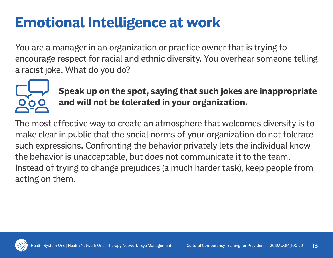# **Emotional Intelligence at work**

You are a manager in an organization or practice owner that is trying to encourage respect for racial and ethnic diversity. You overhear someone telling a racist joke. What do you do?



**Speak up on the spot, saying that such jokes are inappropriate and will not be tolerated in your organization.** 

The most effective way to create an atmosphere that welcomes diversity is to make clear in public that the social norms of your organization do not tolerate such expressions. Confronting the behavior privately lets the individual know the behavior is unacceptable, but does not communicate it to the team. Instead of trying to change prejudices (a much harder task), keep people from acting on them.

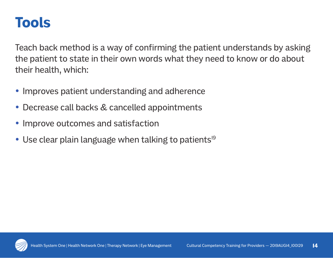#### **Tools**

Teach back method is a way of confirming the patient understands by asking the patient to state in their own words what they need to know or do about their health, which:

- Improves patient understanding and adherence
- Decrease call backs & cancelled appointments
- Improve outcomes and satisfaction
- Use clear plain language when talking to patients<sup>19</sup>

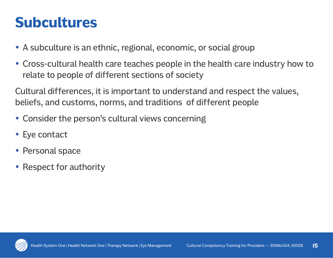## **Subcultures**

- A subculture is an ethnic, regional, economic, or social group
- Cross-cultural health care teaches people in the health care industry how to relate to people of different sections of society

Cultural differences, it is important to understand and respect the values, beliefs, and customs, norms, and traditions of different people

- Consider the person's cultural views concerning
- Eye contact
- Personal space
- Respect for authority

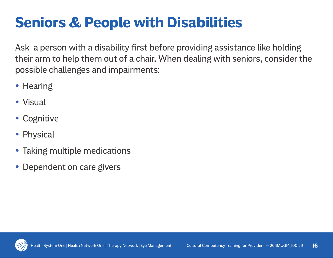# **Seniors & People with Disabilities**

Ask a person with a disability first before providing assistance like holding their arm to help them out of a chair. When dealing with seniors, consider the possible challenges and impairments:

- Hearing
- Visual
- Cognitive
- Physical
- Taking multiple medications
- Dependent on care givers

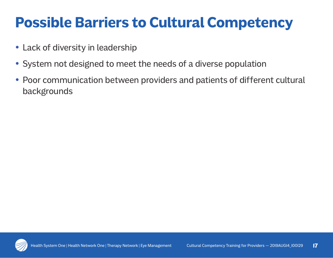# **Possible Barriers to Cultural Competency**

- Lack of diversity in leadership
- System not designed to meet the needs of a diverse population
- Poor communication between providers and patients of different cultural backgrounds

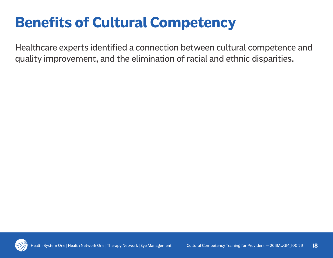# **Benefits of Cultural Competency**

Healthcare experts identified a connection between cultural competence and quality improvement, and the elimination of racial and ethnic disparities.

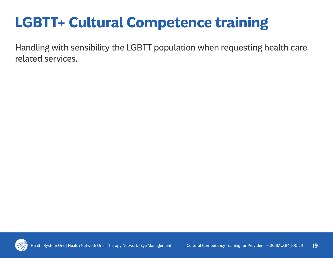# **LGBTT+ Cultural Competence training**

Handling with sensibility the LGBTT population when requesting health care related services.

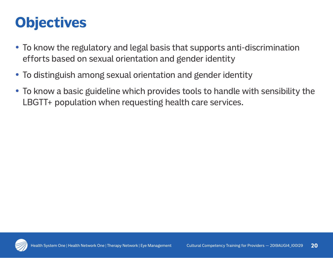## **Objectives**

- To know the regulatory and legal basis that supports anti-discrimination efforts based on sexual orientation and gender identity
- To distinguish among sexual orientation and gender identity
- To know a basic guideline which provides tools to handle with sensibility the LBGTT+ population when requesting health care services.

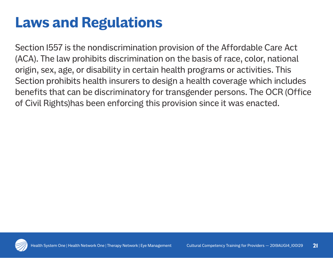## **Laws and Regulations**

Section 1557 is the nondiscrimination provision of the Affordable Care Act (ACA). The law prohibits discrimination on the basis of race, color, national origin, sex, age, or disability in certain health programs or activities. This Section prohibits health insurers to design a health coverage which includes benefits that can be discriminatory for transgender persons. The OCR (Office of Civil Rights)has been enforcing this provision since it was enacted.

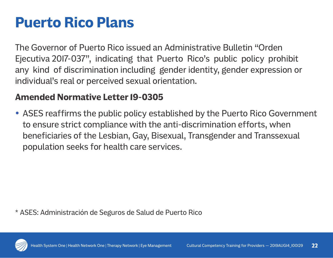## **Puerto Rico Plans**

The Governor of Puerto Rico issued an Administrative Bulletin "Orden Ejecutiva 2017-037", indicating that Puerto Rico's public policy prohibit any kind of discrimination including gender identity, gender expression or individual's real or perceived sexual orientation.

#### **Amended Normative Letter 19-0305**

• ASES reaffirms the public policy established by the Puerto Rico Government to ensure strict compliance with the anti-discrimination efforts, when beneficiaries of the Lesbian, Gay, Bisexual, Transgender and Transsexual population seeks for health care services.

\* ASES: Administración de Seguros de Salud de Puerto Rico

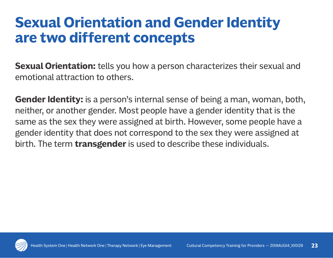## **Sexual Orientation and Gender Identity are two different concepts**

**Sexual Orientation:** tells you how a person characterizes their sexual and emotional attraction to others.

**Gender Identity:** is a person's internal sense of being a man, woman, both, neither, or another gender. Most people have a gender identity that is the same as the sex they were assigned at birth. However, some people have a gender identity that does not correspond to the sex they were assigned at birth. The term **transgender** is used to describe these individuals.

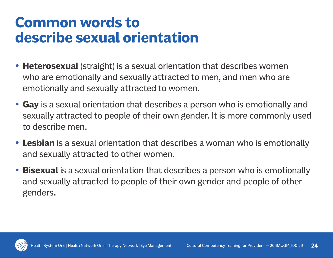### **Common words to describe sexual orientation**

- **Heterosexual** (straight) is a sexual orientation that describes women who are emotionally and sexually attracted to men, and men who are emotionally and sexually attracted to women.
- **Gay** is a sexual orientation that describes a person who is emotionally and sexually attracted to people of their own gender. It is more commonly used to describe men.
- **Lesbian** is a sexual orientation that describes a woman who is emotionally and sexually attracted to other women.
- **Bisexual** is a sexual orientation that describes a person who is emotionally and sexually attracted to people of their own gender and people of other genders.

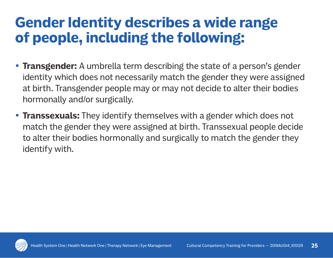## **Gender Identity describes a wide range of people, including the following:**

- **Transgender:** A umbrella term describing the state of a person's gender identity which does not necessarily match the gender they were assigned at birth. Transgender people may or may not decide to alter their bodies hormonally and/or surgically.
- **Transsexuals:** They identify themselves with a gender which does not match the gender they were assigned at birth. Transsexual people decide to alter their bodies hormonally and surgically to match the gender they identify with.

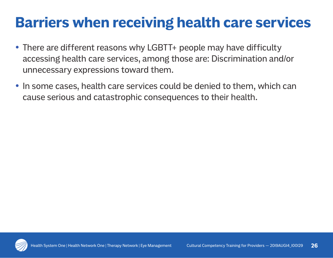## **Barriers when receiving health care services**

- There are different reasons why LGBTT+ people may have difficulty accessing health care services, among those are: Discrimination and/or unnecessary expressions toward them.
- In some cases, health care services could be denied to them, which can cause serious and catastrophic consequences to their health.

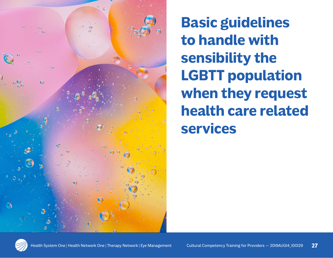

**Basic guidelines to handle with sensibility the LGBTT population when they request health care related services**

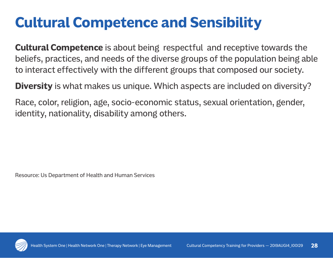# **Cultural Competence and Sensibility**

**Cultural Competence** is about being respectful and receptive towards the beliefs, practices, and needs of the diverse groups of the population being able to interact effectively with the different groups that composed our society.

**Diversity** is what makes us unique. Which aspects are included on diversity?

Race, color, religion, age, socio-economic status, sexual orientation, gender, identity, nationality, disability among others.

Resource: Us Department of Health and Human Services

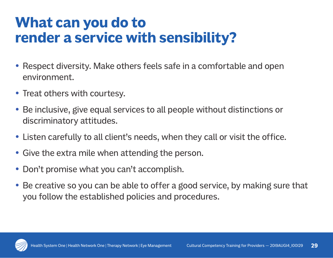## **What can you do to render a service with sensibility?**

- Respect diversity. Make others feels safe in a comfortable and open environment.
- Treat others with courtesy.
- Be inclusive, give equal services to all people without distinctions or discriminatory attitudes.
- Listen carefully to all client's needs, when they call or visit the office.
- Give the extra mile when attending the person.
- Don't promise what you can't accomplish.
- Be creative so you can be able to offer a good service, by making sure that you follow the established policies and procedures.

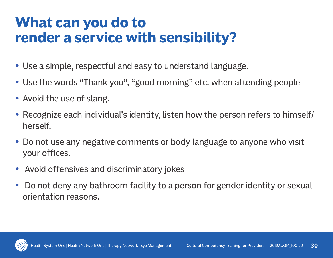## **What can you do to render a service with sensibility?**

- Use a simple, respectful and easy to understand language.
- Use the words "Thank you", "good morning" etc. when attending people
- Avoid the use of slang.
- Recognize each individual's identity, listen how the person refers to himself/ herself.
- Do not use any negative comments or body language to anyone who visit your offices.
- Avoid offensives and discriminatory jokes
- Do not deny any bathroom facility to a person for gender identity or sexual orientation reasons.

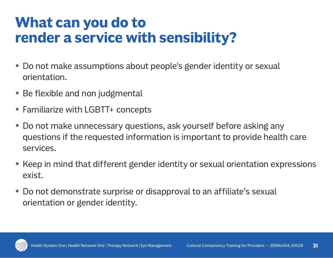## **What can you do to render a service with sensibility?**

- Do not make assumptions about people's gender identity or sexual orientation.
- Be flexible and non judgmental
- Familiarize with LGBTT+ concepts
- Do not make unnecessary questions, ask yourself before asking any questions if the requested information is important to provide health care services.
- Keep in mind that different gender identity or sexual orientation expressions exist.
- Do not demonstrate surprise or disapproval to an affiliate's sexual orientation or gender identity.

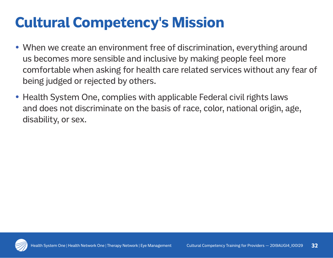# **Cultural Competency's Mission**

- When we create an environment free of discrimination, everything around us becomes more sensible and inclusive by making people feel more comfortable when asking for health care related services without any fear of being judged or rejected by others.
- Health System One, complies with applicable Federal civil rights laws and does not discriminate on the basis of race, color, national origin, age, disability, or sex.

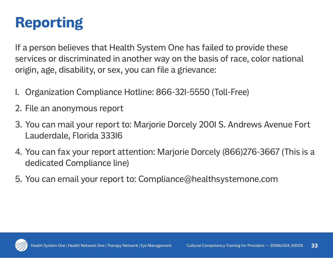# **Reporting**

If a person believes that Health System One has failed to provide these services or discriminated in another way on the basis of race, color national origin, age, disability, or sex, you can file a grievance:

- 1. Organization Compliance Hotline: 866-321-5550 (Toll-Free)
- 2. File an anonymous report
- 3. You can mail your report to: Marjorie Dorcely 2001 S. Andrews Avenue Fort Lauderdale, Florida 33316
- 4. You can fax your report attention: Marjorie Dorcely (866)276-3667 (This is a dedicated Compliance line)
- 5. You can email your report to: Compliance@healthsystemone.com

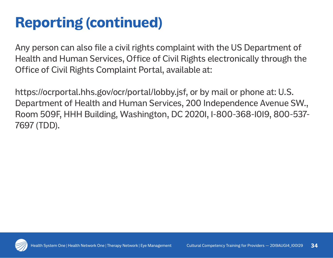# **Reporting (continued)**

Any person can also file a civil rights complaint with the US Department of Health and Human Services, Office of Civil Rights electronically through the Office of Civil Rights Complaint Portal, available at:

https://ocrportal.hhs.gov/ocr/portal/lobby.jsf, or by mail or phone at: U.S. Department of Health and Human Services, 200 Independence Avenue SW., Room 509F, HHH Building, Washington, DC 20201, 1-800-368-1019, 800-537- 7697 (TDD).

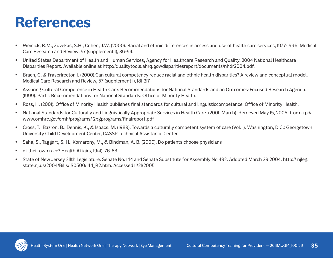#### **References**

- y Weinick, R.M., Zuvekas, S.H., Cohen, J.W. (2000). Racial and ethnic differences in access and use of health care services, 1977-1996. Medical Care Research and Review, 57 (supplement 1), 36-54.
- United States Department of Health and Human Services, Agency for Healthcare Research and Quality. 2004 National Healthcare Disparities Report. Available online at http://qualitytools.ahrq.gov/disparitiesreport/documents/nhdr2004.pdf.
- Brach, C. & Fraserirector, I. (2000).Can cultural competency reduce racial and ethnic health disparities? A review and conceptual model. Medical Care Research and Review, 57 (supplement 1), 181-217.
- Assuring Cultural Competence in Health Care: Recommendations for National Standards and an Outcomes-Focused Research Agenda. (1999). Part I: Recommendations for National Standards: Office of Minority Health.
- y Ross, H. (2001). Office of Minority Health publishes final standards for cultural and linguisticcompetence: Office of Minority Health.
- y National Standards for Culturally and Linguistically Appropriate Services in Health Care. (2001, March). Retrieved May 15, 2005, from ttp:// www.omhrc.gov/omh/programs/ 2pgprograms/finalreport.pdf
- y Cross, T., Bazron, B., Dennis, K., & Isaacs, M. (1989). Towards a culturally competent system of care (Vol. 1). Washington, D.C.: Georgetown University Child Development Center, CASSP Technical Assistance Center.
- y Saha, S., Taggart, S. H., Komarony, M., & Bindman, A. B. (2000). Do patients choose physicians
- of their own race? Health Affairs, 19(4), 76-83.
- State of New Jersey 211th Legislature. Senate No. 144 and Senate Substitute for Assembly No 492. Adopted March 29 2004. http:// njleg. state.nj.us/2004/Bills/ S0500/144\_R2.htm. Accessed 11/21/2005